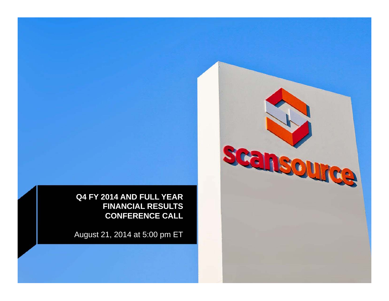scansource

**Q4 FY 2014 AND FULL YEAR FINANCIAL RESULTS CONFERENCE CALL**

August 21, 2014 at 5:00 pm ET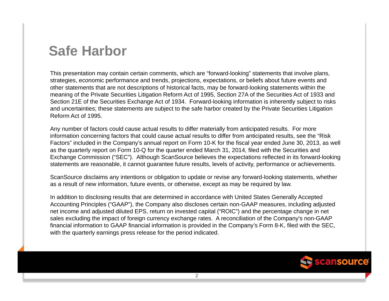### **Safe Harbor**

This presentation may contain certain comments, which are "forward-looking" statements that involve plans, strategies, economic performance and trends, projections, expectations, or beliefs about future events and other statements that are not descriptions of historical facts, may be forward-looking statements within the meaning of the Private Securities Litigation Reform Act of 1995, Section 27A of the Securities Act of 1933 and Section 21E of the Securities Exchange Act of 1934. Forward-looking information is inherently subject to risks and uncertainties; these statements are subject to the safe harbor created by the Private Securities Litigation Reform Act of 1995.

Any number of factors could cause actual results to differ materially from anticipated results. For more information concerning factors that could cause actual results to differ from anticipated results, see the "Risk Factors" included in the Company's annual report on Form 10-K for the fiscal year ended June 30, 2013, as well as the quarterly report on Form 10-Q for the quarter ended March 31, 2014, filed with the Securities and Exchange Commission ("SEC"). Although ScanSource believes the expectations reflected in its forward-looking statements are reasonable, it cannot guarantee future results, levels of activity, performance or achievements.

ScanSource disclaims any intentions or obligation to update or revise any forward-looking statements, whether as a result of new information, future events, or otherwise, except as may be required by law.

In addition to disclosing results that are determined in accordance with United States Generally Accepted Accounting Principles ("GAAP"), the Company also discloses certain non-GAAP measures, including adjusted net income and adjusted diluted EPS, return on invested capital ("ROIC") and the percentage change in net sales excluding the impact of foreign currency exchange rates. A reconciliation of the Company's non-GAAP financial information to GAAP financial information is provided in the Company's Form 8-K, filed with the SEC, with the quarterly earnings press release for the period indicated.

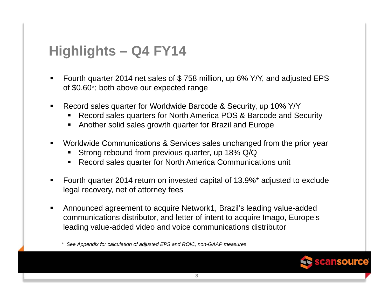## **Highlights – Q4 FY14**

- Fourth quarter 2014 net sales of \$ 758 million, up 6% Y/Y, and adjusted EPS of \$0.60\*; both above our expected range
- Record sales quarter for Worldwide Barcode & Security, up 10% Y/Y
	- Record sales quarters for North America POS & Barcode and Security
	- Another solid sales growth quarter for Brazil and Europe
- Worldwide Communications & Services sales unchanged from the prior year
	- **Strong rebound from previous quarter, up 18% Q/Q**
	- Record sales quarter for North America Communications unit
- Fourth quarter 2014 return on invested capital of 13.9%\* adjusted to exclude legal recovery, net of attorney fees
- Announced agreement to acquire Network1, Brazil's leading value-added communications distributor, and letter of intent to acquire Imago, Europe's leading value-added video and voice communications distributor



*<sup>\*</sup> See Appendix for calculation of adjusted EPS and ROIC, non-GAAP measures.*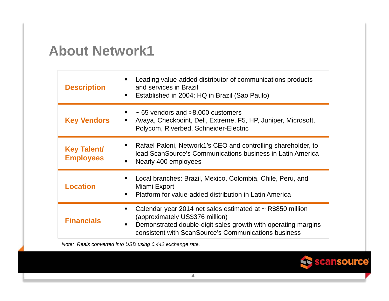#### **About Network1**

| <b>Description</b>                     | Leading value-added distributor of communications products<br>$\blacksquare$<br>and services in Brazil<br>Established in 2004; HQ in Brazil (Sao Paulo)<br>п                                                                                               |
|----------------------------------------|------------------------------------------------------------------------------------------------------------------------------------------------------------------------------------------------------------------------------------------------------------|
| <b>Key Vendors</b>                     | $\sim$ 65 vendors and $>8,000$ customers<br>$\blacksquare$<br>Avaya, Checkpoint, Dell, Extreme, F5, HP, Juniper, Microsoft,<br>п<br>Polycom, Riverbed, Schneider-Electric                                                                                  |
| <b>Key Talent/</b><br><b>Employees</b> | Rafael Paloni, Network1's CEO and controlling shareholder, to<br>п<br>lead ScanSource's Communications business in Latin America<br>Nearly 400 employees<br>$\blacksquare$                                                                                 |
| <b>Location</b>                        | Local branches: Brazil, Mexico, Colombia, Chile, Peru, and<br>$\blacksquare$<br>Miami Export<br>Platform for value-added distribution in Latin America<br>$\blacksquare$                                                                                   |
| <b>Financials</b>                      | Calendar year 2014 net sales estimated at ~ R\$850 million<br>$\blacksquare$<br>(approximately US\$376 million)<br>Demonstrated double-digit sales growth with operating margins<br>$\blacksquare$<br>consistent with ScanSource's Communications business |

*Note: Reais converted into USD using 0.442 exchange rate.*

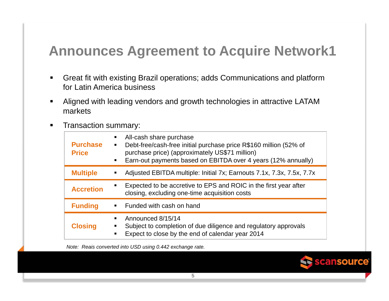# **Announces Agreement to Acquire Network1**

- $\blacksquare$  Great fit with existing Brazil operations; adds Communications and platform for Latin America business
- Aligned with leading vendors and growth technologies in attractive LATAM markets
- $\blacksquare$ Transaction summary:

| <b>Purchase</b><br><b>Price</b> | All-cash share purchase<br>Debt-free/cash-free initial purchase price R\$160 million (52% of<br>$\blacksquare$<br>purchase price) (approximately US\$71 million)<br>Earn-out payments based on EBITDA over 4 years (12% annually)<br>$\blacksquare$ |
|---------------------------------|-----------------------------------------------------------------------------------------------------------------------------------------------------------------------------------------------------------------------------------------------------|
| <b>Multiple</b>                 | Adjusted EBITDA multiple: Initial 7x; Earnouts 7.1x, 7.3x, 7.5x, 7.7x                                                                                                                                                                               |
| <b>Accretion</b>                | Expected to be accretive to EPS and ROIC in the first year after<br>closing, excluding one-time acquisition costs                                                                                                                                   |
| <b>Funding</b>                  | Funded with cash on hand<br>$\blacksquare$                                                                                                                                                                                                          |
| <b>Closing</b>                  | Announced 8/15/14<br>Subject to completion of due diligence and regulatory approvals<br>Expect to close by the end of calendar year 2014                                                                                                            |

*Note: Reais converted into USD using 0.442 exchange rate.*

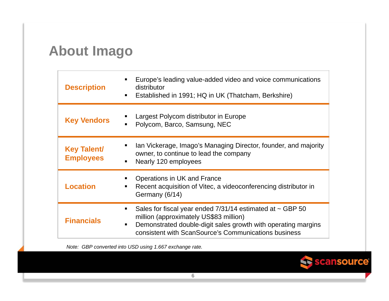## **About Imago**

| <b>Description</b>                     | Europe's leading value-added video and voice communications<br>п<br>distributor<br>Established in 1991; HQ in UK (Thatcham, Berkshire)<br>$\blacksquare$                                                                                                                |
|----------------------------------------|-------------------------------------------------------------------------------------------------------------------------------------------------------------------------------------------------------------------------------------------------------------------------|
| <b>Key Vendors</b>                     | Largest Polycom distributor in Europe<br>п<br>Polycom, Barco, Samsung, NEC<br>п                                                                                                                                                                                         |
| <b>Key Talent/</b><br><b>Employees</b> | Ian Vickerage, Imago's Managing Director, founder, and majority<br>п<br>owner, to continue to lead the company<br>Nearly 120 employees<br>٠                                                                                                                             |
| <b>Location</b>                        | Operations in UK and France<br>п<br>Recent acquisition of Vitec, a videoconferencing distributor in<br>п<br>Germany (6/14)                                                                                                                                              |
| <b>Financials</b>                      | Sales for fiscal year ended $7/31/14$ estimated at $\sim$ GBP 50<br>$\blacksquare$<br>million (approximately US\$83 million)<br>Demonstrated double-digit sales growth with operating margins<br>$\blacksquare$<br>consistent with ScanSource's Communications business |

*Note: GBP converted into USD using 1.667 exchange rate.*

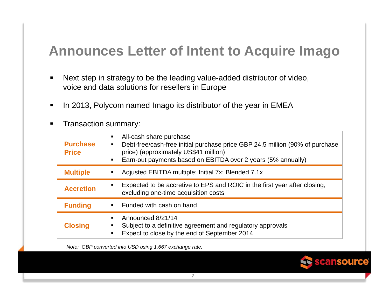## **Announces Letter of Intent to Acquire Imago**

- $\blacksquare$  Next step in strategy to be the leading value-added distributor of video, voice and data solutions for resellers in Europe
- $\blacksquare$ In 2013, Polycom named Imago its distributor of the year in EMEA
- $\blacksquare$ Transaction summary:

| <b>Purchase</b><br><b>Price</b> | All-cash share purchase<br>٠<br>Debt-free/cash-free initial purchase price GBP 24.5 million (90% of purchase<br>٠<br>price) (approximately US\$41 million)<br>Earn-out payments based on EBITDA over 2 years (5% annually)<br>$\blacksquare$ |
|---------------------------------|----------------------------------------------------------------------------------------------------------------------------------------------------------------------------------------------------------------------------------------------|
| <b>Multiple</b>                 | Adjusted EBITDA multiple: Initial 7x; Blended 7.1x<br>٠                                                                                                                                                                                      |
| <b>Accretion</b>                | Expected to be accretive to EPS and ROIC in the first year after closing,<br>excluding one-time acquisition costs                                                                                                                            |
| <b>Funding</b>                  | Funded with cash on hand<br>$\blacksquare$                                                                                                                                                                                                   |
| <b>Closing</b>                  | Announced 8/21/14<br>٠<br>Subject to a definitive agreement and regulatory approvals<br>Expect to close by the end of September 2014<br>$\blacksquare$                                                                                       |

*Note: GBP converted into USD using 1.667 exchange rate.*

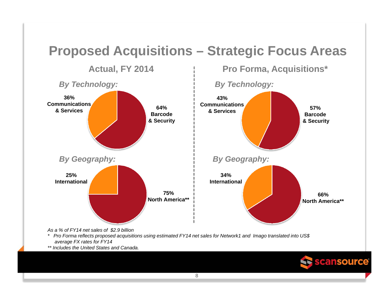# **Proposed Acquisitions – Strategic Focus Areas**



*\* Pro Forma reflects proposed acquisitions using estimated FY14 net sales for Network1 and Imago translated into US\$ average FX rates for FY14* 

*\*\* Includes the United States and Canada.*

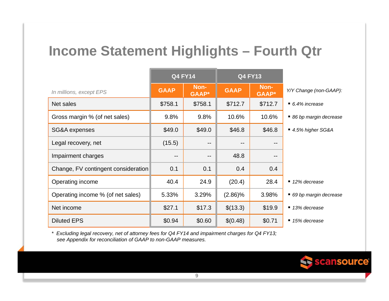## **Income Statement Highlights – Fourth Qtr**

|                                     | <b>Q4 FY14</b> |                      | <b>Q4 FY13</b>    |                       |                              |
|-------------------------------------|----------------|----------------------|-------------------|-----------------------|------------------------------|
| In millions, except EPS             | <b>GAAP</b>    | Non-<br><b>GAAP*</b> | <b>GAAP</b>       | Non-<br><b>GAAP</b> * | Y/Y Change (non-GAAP):       |
| Net sales                           | \$758.1        | \$758.1              | \$712.7           | \$712.7               | $\blacksquare$ 6.4% increase |
| Gross margin % (of net sales)       | 9.8%           | 9.8%                 | 10.6%             | 10.6%                 | ■ 86 bp margin decrease      |
| SG&A expenses                       | \$49.0         | \$49.0               | \$46.8            | \$46.8                | ■ 4.5% higher SG&A           |
| Legal recovery, net                 | (15.5)         | $\qquad \qquad -$    | $\qquad \qquad -$ | --                    |                              |
| Impairment charges                  | --             | --                   | 48.8              | --                    |                              |
| Change, FV contingent consideration | 0.1            | 0.1                  | 0.4               | 0.4                   |                              |
| Operating income                    | 40.4           | 24.9                 | (20.4)            | 28.4                  | $\blacksquare$ 12% decrease  |
| Operating income % (of net sales)   | 5.33%          | 3.29%                | $(2.86)\%$        | 3.98%                 | ■ 69 bp margin decrease      |
| Net income                          | \$27.1         | \$17.3               | \$(13.3)          | \$19.9                | $\blacksquare$ 13% decrease  |
| <b>Diluted EPS</b>                  | \$0.94         | \$0.60               | \$(0.48)          | \$0.71                | $\blacksquare$ 15% decrease  |

*\* Excluding legal recovery, net of attorney fees for Q4 FY14 and impairment charges for Q4 FY13; see Appendix for reconciliation of GAAP to non-GAAP measures.*

Se scansource®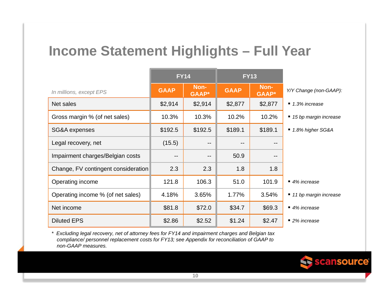## **Income Statement Highlights – Full Year**

|                                     | <b>FY14</b> |                      | <b>FY13</b> |                      |                              |
|-------------------------------------|-------------|----------------------|-------------|----------------------|------------------------------|
| In millions, except EPS             | <b>GAAP</b> | Non-<br><b>GAAP*</b> | <b>GAAP</b> | Non-<br><b>GAAP*</b> | Y/Y Change (non-GAAP):       |
| Net sales                           | \$2,914     | \$2,914              | \$2,877     | \$2,877              | $\blacksquare$ 1.3% increase |
| Gross margin % (of net sales)       | 10.3%       | 10.3%                | 10.2%       | 10.2%                | ■ 15 bp margin increase      |
| SG&A expenses                       | \$192.5     | \$192.5              | \$189.1     | \$189.1              | ■ 1.8% higher SG&A           |
| Legal recovery, net                 | (15.5)      | $- -$                | --          | $- -$                |                              |
| Impairment charges/Belgian costs    | --          | $- -$                | 50.9        | --                   |                              |
| Change, FV contingent consideration | 2.3         | 2.3                  | 1.8         | 1.8                  |                              |
| Operating income                    | 121.8       | 106.3                | 51.0        | 101.9                | $\blacksquare$ 4% increase   |
| Operating income % (of net sales)   | 4.18%       | 3.65%                | 1.77%       | 3.54%                | ■ 11 bp margin increase      |
| Net income                          | \$81.8      | \$72.0               | \$34.7      | \$69.3               | $\blacksquare$ 4% increase   |
| <b>Diluted EPS</b>                  | \$2.86      | \$2.52               | \$1.24      | \$2.47               | $\blacksquare$ 2% increase   |

*\* Excluding legal recovery, net of attorney fees for FY14 and impairment charges and Belgian tax compliance/ personnel replacement costs for FY13; see Appendix for reconciliation of GAAP to non-GAAP measures.*

Scansource®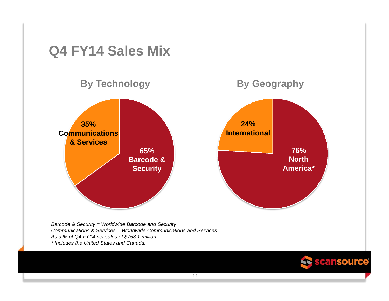

*Communications & Services = Worldwide Communications and ServicesAs a % of Q4 FY14 net sales of \$758.1 million*

*\* Includes the United States and Canada.*

**11**

Seansource®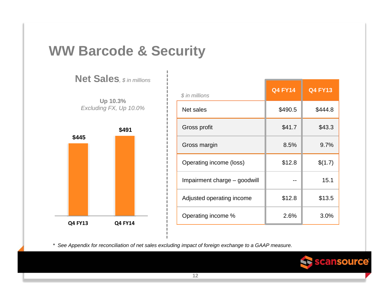#### **WW Barcode & Security**

**Net Sales***, \$ in millions*

**Up 10.3%** *Excluding FX, Up 10.0%*



| \$ in millions               | <b>Q4 FY14</b> | <b>Q4 FY13</b> |
|------------------------------|----------------|----------------|
| Net sales                    | \$490.5        | \$444.8        |
| Gross profit                 | \$41.7         | \$43.3         |
| Gross margin                 | 8.5%           | 9.7%           |
| Operating income (loss)      | \$12.8         | \$(1.7)        |
| Impairment charge – goodwill |                | 15.1           |
| Adjusted operating income    | \$12.8         | \$13.5         |
| Operating income %           | 2.6%           | 3.0%           |

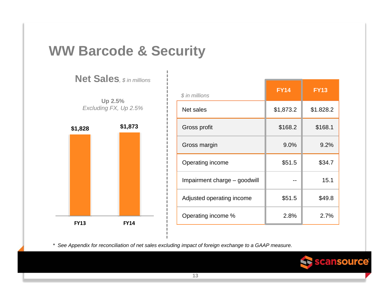#### **WW Barcode & Security**

**Net Sales***, \$ in millions*



| $$$ in millions              | <b>FY14</b> | <b>FY13</b> |
|------------------------------|-------------|-------------|
| Net sales                    | \$1,873.2   | \$1.828.2   |
| Gross profit                 | \$168.2     | \$168.1     |
| Gross margin                 | 9.0%        | 9.2%        |
| Operating income             | \$51.5      | \$34.7      |
| Impairment charge – goodwill |             | 15.1        |
| Adjusted operating income    | \$51.5      | \$49.8      |
| Operating income %           | 2.8%        | 2.7%        |

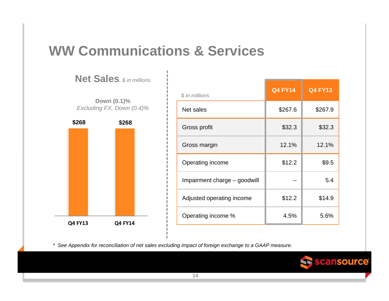## **WW Communications & Services**

**\$268 \$268 Q4 FY13 Q4 FY14 Down (0.1)%** *Excluding FX, Down (0.4)%*

**Net Sales***, \$ in millions*

| \$ in millions               | <b>Q4 FY14</b> | <b>Q4 FY13</b> |
|------------------------------|----------------|----------------|
| Net sales                    | \$267.6        | \$267.9        |
| Gross profit                 | \$32.3         | \$32.3         |
| Gross margin                 | 12.1%          | 12.1%          |
| Operating income             | \$12.2         | \$9.5          |
| Impairment charge - goodwill |                | 5.4            |
| Adjusted operating income    | \$12.2         | \$14.9         |
| Operating income %           | 4.5%           | 5.6%           |

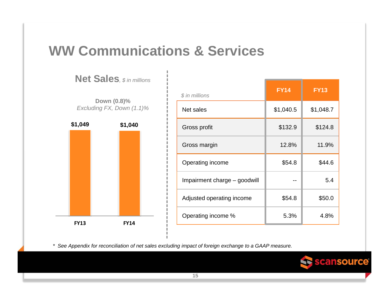## **WW Communications & Services**

**\$1,049 \$1,040 FY13 FY14Down (0.8)%** *Excluding FX, Down (1.1)%*

**Net Sales***, \$ in millions*

| $$$ in millions              | <b>FY14</b> | <b>FY13</b> |
|------------------------------|-------------|-------------|
| Net sales                    | \$1,040.5   | \$1,048.7   |
| Gross profit                 | \$132.9     | \$124.8     |
| Gross margin                 | 12.8%       | 11.9%       |
| Operating income             | \$54.8      | \$44.6      |
| Impairment charge - goodwill |             | 5.4         |
| Adjusted operating income    | \$54.8      | \$50.0      |
| Operating income %           | 5.3%        | 4.8%        |

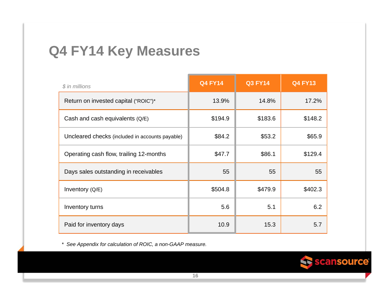#### **Q4 FY14 Key Measures**

| \$ in millions                                  | <b>Q4 FY14</b> | <b>Q3 FY14</b> | <b>Q4 FY13</b> |
|-------------------------------------------------|----------------|----------------|----------------|
| Return on invested capital ("ROIC")*            | 13.9%          | 14.8%          | 17.2%          |
| Cash and cash equivalents $(Q/E)$               | \$194.9        | \$183.6        | \$148.2        |
| Uncleared checks (included in accounts payable) | \$84.2         | \$53.2         | \$65.9         |
| Operating cash flow, trailing 12-months         | \$47.7         | \$86.1         | \$129.4        |
| Days sales outstanding in receivables           | 55             | 55             | 55             |
| Inventory $(Q/E)$                               | \$504.8        | \$479.9        | \$402.3        |
| Inventory turns                                 | 5.6            | 5.1            | 6.2            |
| Paid for inventory days                         | 10.9           | 15.3           | 5.7            |

*\* See Appendix for calculation of ROIC, a non-GAAP measure.*

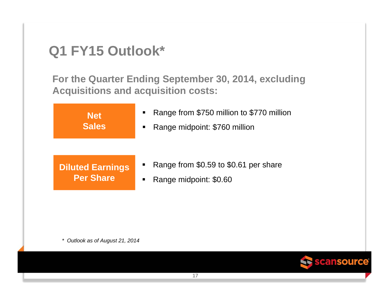## **Q1 FY15 Outlook\***

**For the Quarter Ending September 30, 2014, excluding Acquisitions and acquisition costs:**



*\* Outlook as of August 21, 2014*

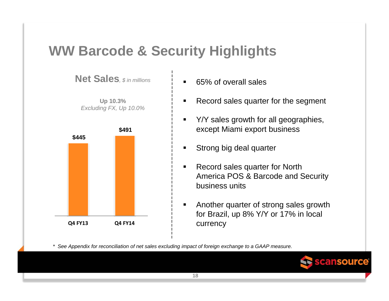## **WW Barcode & Security Highlights**



- $\blacksquare$ 65% of overall sales
- $\blacksquare$ Record sales quarter for the segment
- $\blacksquare$  Y/Y sales growth for all geographies, except Miami export business
- $\blacksquare$ Strong big deal quarter
- $\blacksquare$  Record sales quarter for North America POS & Barcode and Security business units
- $\blacksquare$  Another quarter of strong sales growth for Brazil, up 8% Y/Y or 17% in local currency

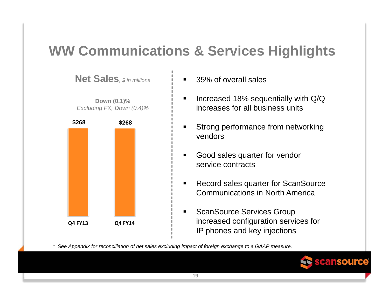# **WW Communications & Services Highlights**

**Net Sales***, \$ in millions* **Down (0.1)%** *Excluding FX, Down (0.4)%* **\$268 \$268 Q4 FY13 Q4 FY14**

- $\blacksquare$ 35% of overall sales
- $\blacksquare$  Increased 18% sequentially with Q/Q increases for all business units
- $\blacksquare$  Strong performance from networking vendors
- $\blacksquare$  Good sales quarter for vendor service contracts
- $\blacksquare$  Record sales quarter for ScanSource Communications in North America
- $\blacksquare$  ScanSource Services Group increased configuration services for IP phones and key injections

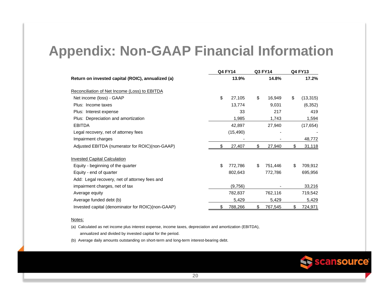### **Appendix: Non-GAAP Financial Information**

|                                                   |     | <b>Q4 FY14</b> | Q3 FY14       | Q4 FY13         |
|---------------------------------------------------|-----|----------------|---------------|-----------------|
| Return on invested capital (ROIC), annualized (a) |     | 13.9%          | 14.8%         | 17.2%           |
| Reconciliation of Net Income (Loss) to EBITDA     |     |                |               |                 |
| Net income (loss) - GAAP                          | \$  | 27,105         | \$<br>16,949  | \$<br>(13, 315) |
| Plus: Income taxes                                |     | 13,774         | 9,031         | (6, 352)        |
| Plus: Interest expense                            |     | 33             | 217           | 419             |
| Plus: Depreciation and amortization               |     | 1,985          | 1,743         | 1,594           |
| <b>EBITDA</b>                                     |     | 42,897         | 27,940        | (17, 654)       |
| Legal recovery, net of attorney fees              |     | (15, 490)      |               |                 |
| Impairment charges                                |     |                |               | 48,772          |
| Adjusted EBITDA (numerator for ROIC)(non-GAAP)    | \$. | 27,407         | \$<br>27,940  | \$<br>31,118    |
| <b>Invested Capital Calculation</b>               |     |                |               |                 |
| Equity - beginning of the quarter                 | \$  | 772,786        | \$<br>751,446 | \$<br>709,912   |
| Equity - end of quarter                           |     | 802,643        | 772,786       | 695,956         |
| Add: Legal recovery, net of attorney fees and     |     |                |               |                 |
| impairment charges, net of tax                    |     | (9,756)        |               | 33,216          |
| Average equity                                    |     | 782,837        | 762,116       | 719,542         |
| Average funded debt (b)                           |     | 5,429          | 5,429         | 5,429           |
| Invested capital (denominator for ROIC)(non-GAAP) | \$  | 788,266        | \$<br>767,545 | \$<br>724,971   |

#### Notes:

(a) Calculated as net income plus interest expense, income taxes, depreciation and amortization (EBITDA), annualized and divided by invested capital for the period.

(b) Average daily amounts outstanding on short-term and long-term interest-bearing debt.

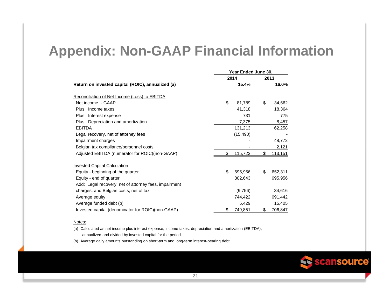#### **Appendix: Non-GAAP Financial Information**

|                                                       | Year Ended June 30. |    |         |  |
|-------------------------------------------------------|---------------------|----|---------|--|
|                                                       | 2014                |    | 2013    |  |
| Return on invested capital (ROIC), annualized (a)     | 15.4%               |    | 16.0%   |  |
| Reconciliation of Net Income (Loss) to EBITDA         |                     |    |         |  |
| Net income - GAAP                                     | \$<br>81,789        | \$ | 34,662  |  |
| Plus: Income taxes                                    | 41,318              |    | 18,364  |  |
| Plus: Interest expense                                | 731                 |    | 775     |  |
| Plus: Depreciation and amortization                   | 7,375               |    | 8,457   |  |
| <b>EBITDA</b>                                         | 131,213             |    | 62,258  |  |
| Legal recovery, net of attorney fees                  | (15, 490)           |    |         |  |
| Impairment charges                                    |                     |    | 48,772  |  |
| Belgian tax compliance/personnel costs                |                     |    | 2,121   |  |
| Adjusted EBITDA (numerator for ROIC)(non-GAAP)        | \$<br>115,723       | \$ | 113,151 |  |
| <b>Invested Capital Calculation</b>                   |                     |    |         |  |
| Equity - beginning of the quarter                     | \$<br>695,956       | \$ | 652,311 |  |
| Equity - end of quarter                               | 802,643             |    | 695,956 |  |
| Add: Legal recovery, net of attorney fees, impairment |                     |    |         |  |
| charges, and Belgian costs, net of tax                | (9,756)             |    | 34,616  |  |
| Average equity                                        | 744,422             |    | 691,442 |  |
| Average funded debt (b)                               | 5,429               |    | 15,405  |  |
| Invested capital (denominator for ROIC)(non-GAAP)     | \$<br>749,851       | \$ | 706,847 |  |

#### Notes:

(a) Calculated as net income plus interest expense, income taxes, depreciation and amortization (EBITDA), annualized and divided by invested capital for the period.

(b) Average daily amounts outstanding on short-term and long-term interest-bearing debt.